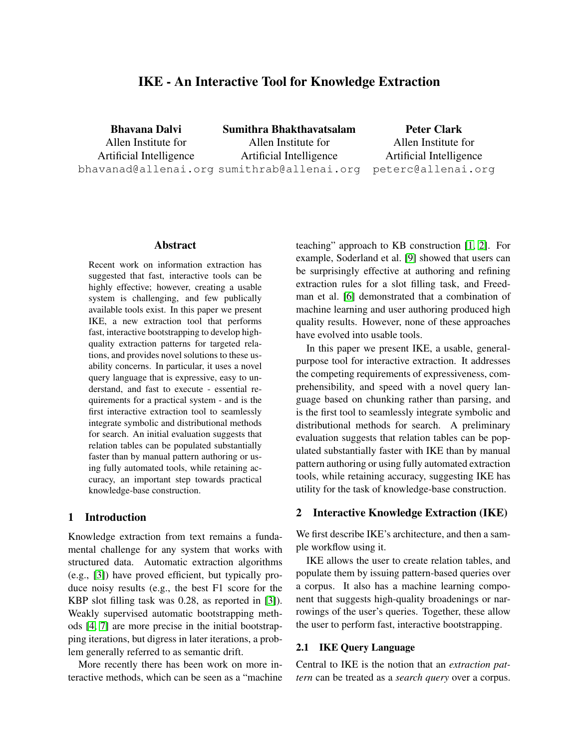# IKE - An Interactive Tool for Knowledge Extraction

Bhavana Dalvi Allen Institute for Artificial Intelligence bhavanad@allenai.org sumithrab@allenai.org Sumithra Bhakthavatsalam Allen Institute for Artificial Intelligence

Peter Clark Allen Institute for Artificial Intelligence peterc@allenai.org

# Abstract

Recent work on information extraction has suggested that fast, interactive tools can be highly effective; however, creating a usable system is challenging, and few publically available tools exist. In this paper we present IKE, a new extraction tool that performs fast, interactive bootstrapping to develop highquality extraction patterns for targeted relations, and provides novel solutions to these usability concerns. In particular, it uses a novel query language that is expressive, easy to understand, and fast to execute - essential requirements for a practical system - and is the first interactive extraction tool to seamlessly integrate symbolic and distributional methods for search. An initial evaluation suggests that relation tables can be populated substantially faster than by manual pattern authoring or using fully automated tools, while retaining accuracy, an important step towards practical knowledge-base construction.

#### 1 Introduction

Knowledge extraction from text remains a fundamental challenge for any system that works with structured data. Automatic extraction algorithms (e.g., [\[3\]](#page-4-0)) have proved efficient, but typically produce noisy results (e.g., the best F1 score for the KBP slot filling task was 0.28, as reported in [\[3\]](#page-4-0)). Weakly supervised automatic bootstrapping methods [\[4,](#page-4-1) [7\]](#page-4-2) are more precise in the initial bootstrapping iterations, but digress in later iterations, a problem generally referred to as semantic drift.

More recently there has been work on more interactive methods, which can be seen as a "machine teaching" approach to KB construction [\[1,](#page-4-3) [2\]](#page-4-4). For example, Soderland et al. [\[9\]](#page-4-5) showed that users can be surprisingly effective at authoring and refining extraction rules for a slot filling task, and Freedman et al. [\[6\]](#page-4-6) demonstrated that a combination of machine learning and user authoring produced high quality results. However, none of these approaches have evolved into usable tools.

In this paper we present IKE, a usable, generalpurpose tool for interactive extraction. It addresses the competing requirements of expressiveness, comprehensibility, and speed with a novel query language based on chunking rather than parsing, and is the first tool to seamlessly integrate symbolic and distributional methods for search. A preliminary evaluation suggests that relation tables can be populated substantially faster with IKE than by manual pattern authoring or using fully automated extraction tools, while retaining accuracy, suggesting IKE has utility for the task of knowledge-base construction.

### 2 Interactive Knowledge Extraction (IKE)

We first describe IKE's architecture, and then a sample workflow using it.

IKE allows the user to create relation tables, and populate them by issuing pattern-based queries over a corpus. It also has a machine learning component that suggests high-quality broadenings or narrowings of the user's queries. Together, these allow the user to perform fast, interactive bootstrapping.

# 2.1 IKE Query Language

Central to IKE is the notion that an *extraction pattern* can be treated as a *search query* over a corpus.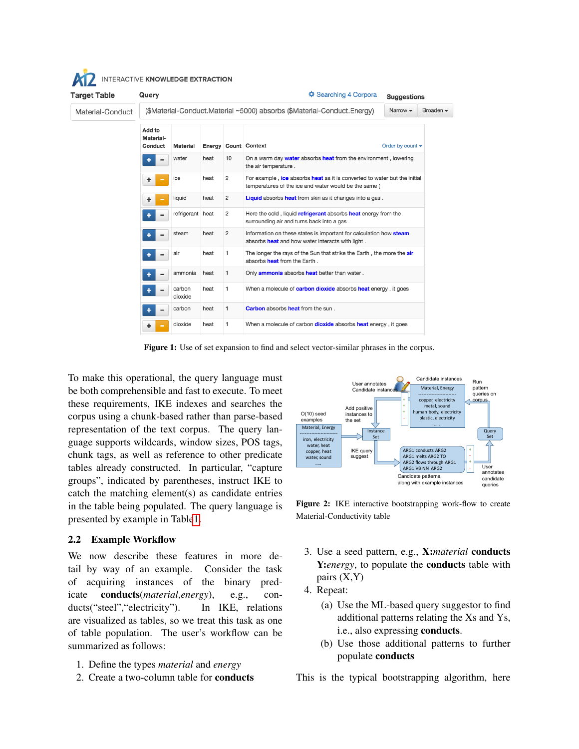| Target Table     | Query                                                                   | <b>☆ Searching 4 Corpora</b> |      |                |                                                                                                                                    |                             | <b>Suggestions</b> |
|------------------|-------------------------------------------------------------------------|------------------------------|------|----------------|------------------------------------------------------------------------------------------------------------------------------------|-----------------------------|--------------------|
| Material-Conduct | (\$Material-Conduct.Material ~5000) absorbs (\$Material-Conduct.Energy) |                              |      |                |                                                                                                                                    | Narrow $\blacktriangledown$ | Broaden -          |
|                  | Add to<br>Material-<br>Conduct                                          | Material                     |      |                | Energy Count Context                                                                                                               | Order by count $\sim$       |                    |
|                  |                                                                         | water                        | heat | 10             | On a warm day water absorbs heat from the environment, lowering<br>the air temperature.                                            |                             |                    |
|                  |                                                                         | ice                          | heat | $\overline{2}$ | For example, ice absorbs heat as it is converted to water but the initial<br>temperatures of the ice and water would be the same ( |                             |                    |
|                  | ٠                                                                       | liquid                       | heat | $\overline{2}$ | Liquid absorbs heat from skin as it changes into a gas.                                                                            |                             |                    |
|                  |                                                                         | refrigerant                  | heat | 2              | Here the cold, liquid refrigerant absorbs heat energy from the<br>surrounding air and turns back into a gas.                       |                             |                    |
|                  |                                                                         | steam                        | heat | $\overline{2}$ | Information on these states is important for calculation how steam<br>absorbs <b>heat</b> and how water interacts with light.      |                             |                    |
|                  |                                                                         | air                          | heat | 1              | The longer the rays of the Sun that strike the Earth, the more the air<br>absorbs <b>heat</b> from the Earth.                      |                             |                    |
|                  |                                                                         | ammonia                      | heat | 1              | Only <b>ammonia</b> absorbs <b>heat</b> better than water.                                                                         |                             |                    |
|                  |                                                                         | carbon<br>dioxide            | heat | 1              | When a molecule of <b>carbon dioxide</b> absorbs <b>heat</b> energy, it goes                                                       |                             |                    |
|                  |                                                                         | carbon                       | heat | 1              | <b>Carbon</b> absorbs <b>heat</b> from the sun.                                                                                    |                             |                    |
|                  | ٠                                                                       | dioxide                      | heat | 1              | When a molecule of carbon <b>dioxide</b> absorbs <b>heat</b> energy, it goes                                                       |                             |                    |

<span id="page-1-0"></span>Figure 1: Use of set expansion to find and select vector-similar phrases in the corpus.

To make this operational, the query language must be both comprehensible and fast to execute. To meet these requirements, IKE indexes and searches the corpus using a chunk-based rather than parse-based representation of the text corpus. The query language supports wildcards, window sizes, POS tags, chunk tags, as well as reference to other predicate tables already constructed. In particular, "capture groups", indicated by parentheses, instruct IKE to catch the matching element(s) as candidate entries in the table being populated. The query language is presented by example in Tabl[e1.](#page-2-0)

### <span id="page-1-1"></span>2.2 Example Workflow

We now describe these features in more detail by way of an example. Consider the task of acquiring instances of the binary predicate conducts(*material*,*energy*), e.g., conducts("steel","electricity"). In IKE, relations are visualized as tables, so we treat this task as one of table population. The user's workflow can be summarized as follows:

- 1. Define the types *material* and *energy*
- 2. Create a two-column table for conducts



Figure 2: IKE interactive bootstrapping work-flow to create Material-Conductivity table

- 3. Use a seed pattern, e.g., X:*material* conducts Y:*energy*, to populate the **conducts** table with pairs (X,Y)
- 4. Repeat:
	- (a) Use the ML-based query suggestor to find additional patterns relating the Xs and Ys, i.e., also expressing conducts.
	- (b) Use those additional patterns to further populate conducts

This is the typical bootstrapping algorithm, here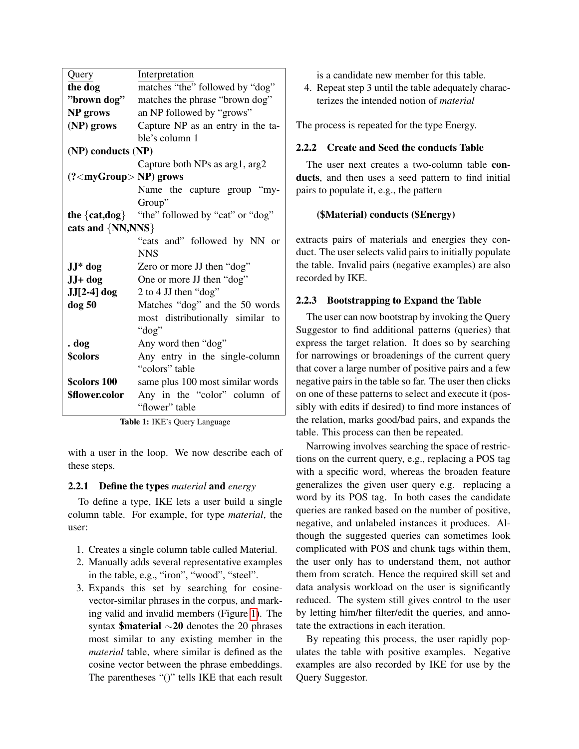| Query                         | Interpretation                    |  |  |  |  |
|-------------------------------|-----------------------------------|--|--|--|--|
| the dog                       | matches "the" followed by "dog"   |  |  |  |  |
| "brown dog"                   | matches the phrase "brown dog"    |  |  |  |  |
| NP grows                      | an NP followed by "grows"         |  |  |  |  |
| (NP) grows                    | Capture NP as an entry in the ta- |  |  |  |  |
|                               | ble's column 1                    |  |  |  |  |
| (NP) conducts (NP)            |                                   |  |  |  |  |
|                               | Capture both NPs as arg1, arg2    |  |  |  |  |
| $(? <$ myGroup $> NP$ ) grows |                                   |  |  |  |  |
|                               | Name the capture group "my-       |  |  |  |  |
|                               | Group"                            |  |  |  |  |
| the $\{cat, dog\}$            | "the" followed by "cat" or "dog"  |  |  |  |  |
| cats and {NN,NNS}             |                                   |  |  |  |  |
|                               | "cats and" followed by NN or      |  |  |  |  |
|                               | <b>NNS</b>                        |  |  |  |  |
| $JJ^*$ dog                    | Zero or more JJ then "dog"        |  |  |  |  |
| JJ+ dog                       | One or more JJ then "dog"         |  |  |  |  |
| JJ[2-4] dog                   | 2 to 4 JJ then "dog"              |  |  |  |  |
| $\log 50$                     | Matches "dog" and the 50 words    |  |  |  |  |
|                               | most distributionally similar to  |  |  |  |  |
|                               | "dog"                             |  |  |  |  |
| . dog                         | Any word then "dog"               |  |  |  |  |
| \$colors                      | Any entry in the single-column    |  |  |  |  |
|                               | "colors" table                    |  |  |  |  |
| \$colors 100                  | same plus 100 most similar words  |  |  |  |  |
| \$flower.color                | Any in the "color" column of      |  |  |  |  |
|                               | "flower" table                    |  |  |  |  |

<span id="page-2-0"></span>Table 1: IKE's Query Language

with a user in the loop. We now describe each of these steps.

### 2.2.1 Define the types *material* and *energy*

To define a type, IKE lets a user build a single column table. For example, for type *material*, the user:

- 1. Creates a single column table called Material.
- 2. Manually adds several representative examples in the table, e.g., "iron", "wood", "steel".
- 3. Expands this set by searching for cosinevector-similar phrases in the corpus, and marking valid and invalid members (Figure [1\)](#page-1-0). The syntax \$material ∼20 denotes the 20 phrases most similar to any existing member in the *material* table, where similar is defined as the cosine vector between the phrase embeddings. The parentheses "()" tells IKE that each result

is a candidate new member for this table.

4. Repeat step 3 until the table adequately characterizes the intended notion of *material*

The process is repeated for the type Energy.

# 2.2.2 Create and Seed the conducts Table

The user next creates a two-column table conducts, and then uses a seed pattern to find initial pairs to populate it, e.g., the pattern

### (\$Material) conducts (\$Energy)

extracts pairs of materials and energies they conduct. The user selects valid pairs to initially populate the table. Invalid pairs (negative examples) are also recorded by IKE.

#### 2.2.3 Bootstrapping to Expand the Table

The user can now bootstrap by invoking the Query Suggestor to find additional patterns (queries) that express the target relation. It does so by searching for narrowings or broadenings of the current query that cover a large number of positive pairs and a few negative pairs in the table so far. The user then clicks on one of these patterns to select and execute it (possibly with edits if desired) to find more instances of the relation, marks good/bad pairs, and expands the table. This process can then be repeated.

Narrowing involves searching the space of restrictions on the current query, e.g., replacing a POS tag with a specific word, whereas the broaden feature generalizes the given user query e.g. replacing a word by its POS tag. In both cases the candidate queries are ranked based on the number of positive, negative, and unlabeled instances it produces. Although the suggested queries can sometimes look complicated with POS and chunk tags within them, the user only has to understand them, not author them from scratch. Hence the required skill set and data analysis workload on the user is significantly reduced. The system still gives control to the user by letting him/her filter/edit the queries, and annotate the extractions in each iteration.

By repeating this process, the user rapidly populates the table with positive examples. Negative examples are also recorded by IKE for use by the Query Suggestor.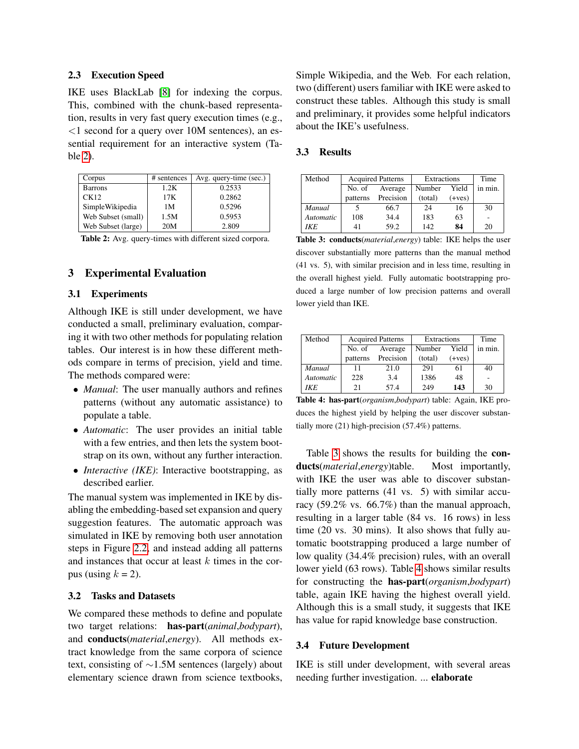### 2.3 Execution Speed

IKE uses BlackLab [\[8\]](#page-4-7) for indexing the corpus. This, combined with the chunk-based representation, results in very fast query execution times (e.g.,  $\leq$ 1 second for a query over 10M sentences), an essential requirement for an interactive system (Table [2\)](#page-3-0).

| Corpus             | # sentences | Avg. query-time (sec.) |
|--------------------|-------------|------------------------|
| Barrons            | 1.2K        | 0.2533                 |
| CK12               | 17K         | 0.2862                 |
| SimpleWikipedia    | 1М          | 0.5296                 |
| Web Subset (small) | 1.5M        | 0.5953                 |
| Web Subset (large) | 20M         | 2.809                  |

<span id="page-3-0"></span>Table 2: Avg. query-times with different sized corpora.

# 3 Experimental Evaluation

#### 3.1 Experiments

Although IKE is still under development, we have conducted a small, preliminary evaluation, comparing it with two other methods for populating relation tables. Our interest is in how these different methods compare in terms of precision, yield and time. The methods compared were:

- *Manual*: The user manually authors and refines patterns (without any automatic assistance) to populate a table.
- *Automatic*: The user provides an initial table with a few entries, and then lets the system bootstrap on its own, without any further interaction.
- *Interactive (IKE)*: Interactive bootstrapping, as described earlier.

The manual system was implemented in IKE by disabling the embedding-based set expansion and query suggestion features. The automatic approach was simulated in IKE by removing both user annotation steps in Figure [2.2,](#page-1-1) and instead adding all patterns and instances that occur at least  $k$  times in the corpus (using  $k = 2$ ).

#### 3.2 Tasks and Datasets

We compared these methods to define and populate two target relations: has-part(*animal*,*bodypart*), and conducts(*material*,*energy*). All methods extract knowledge from the same corpora of science text, consisting of ∼1.5M sentences (largely) about elementary science drawn from science textbooks,

Simple Wikipedia, and the Web. For each relation, two (different) users familiar with IKE were asked to construct these tables. Although this study is small and preliminary, it provides some helpful indicators about the IKE's usefulness.

#### 3.3 Results

| Method    |          | <b>Acquired Patterns</b> | Extractions |          | Time    |
|-----------|----------|--------------------------|-------------|----------|---------|
|           | No. of   | Average                  | Number      | Yield    | in min. |
|           | patterns | Precision                | (total)     | $(+ves)$ |         |
| Manual    |          | 66.7                     | 24          | 16       | 30      |
| Automatic | 108      | 34.4                     | 183         | 63       |         |
| IKE.      | 41       | 59.2                     | 142         | 84       | 20      |

<span id="page-3-1"></span>Table 3: conducts(*material*,*energy*) table: IKE helps the user discover substantially more patterns than the manual method (41 vs. 5), with similar precision and in less time, resulting in the overall highest yield. Fully automatic bootstrapping produced a large number of low precision patterns and overall lower yield than IKE.

| Method    |          | <b>Acquired Patterns</b> | Extractions |          | Time    |
|-----------|----------|--------------------------|-------------|----------|---------|
|           | No. of   | Average                  | Number      | Yield    | in min. |
|           | patterns | Precision                | (total)     | $(+ves)$ |         |
| Manual    | 11       | 21.0                     | 291         | 61       | 40      |
| Automatic | 228      | 3.4                      | 1386        | 48       |         |
| IKE.      | 21       | 57.4                     | 249         | 143      | 30      |

<span id="page-3-2"></span>Table 4: has-part(*organism*,*bodypart*) table: Again, IKE produces the highest yield by helping the user discover substantially more (21) high-precision (57.4%) patterns.

Table [3](#page-3-1) shows the results for building the conducts(*material*,*energy*)table. Most importantly, with IKE the user was able to discover substantially more patterns (41 vs. 5) with similar accuracy (59.2% vs. 66.7%) than the manual approach, resulting in a larger table (84 vs. 16 rows) in less time (20 vs. 30 mins). It also shows that fully automatic bootstrapping produced a large number of low quality (34.4% precision) rules, with an overall lower yield (63 rows). Table [4](#page-3-2) shows similar results for constructing the has-part(*organism*,*bodypart*) table, again IKE having the highest overall yield. Although this is a small study, it suggests that IKE has value for rapid knowledge base construction.

#### 3.4 Future Development

IKE is still under development, with several areas needing further investigation. ... elaborate